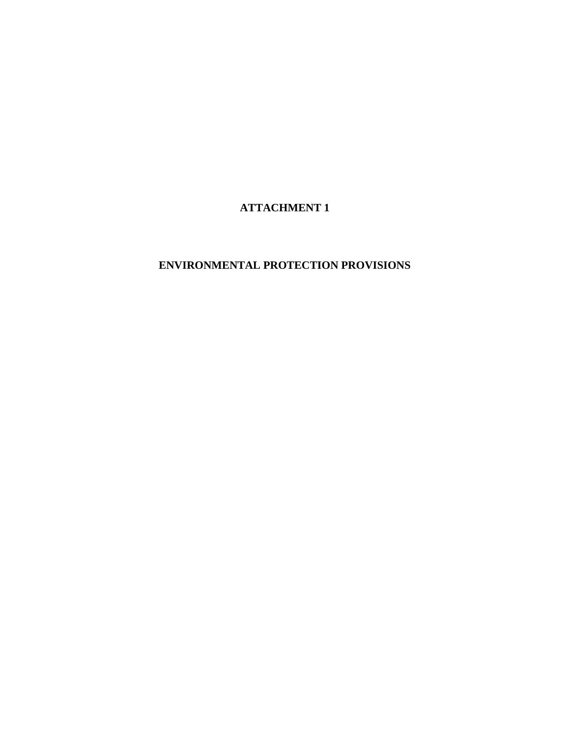**ATTACHMENT 1** 

# **ENVIRONMENTAL PROTECTION PROVISIONS**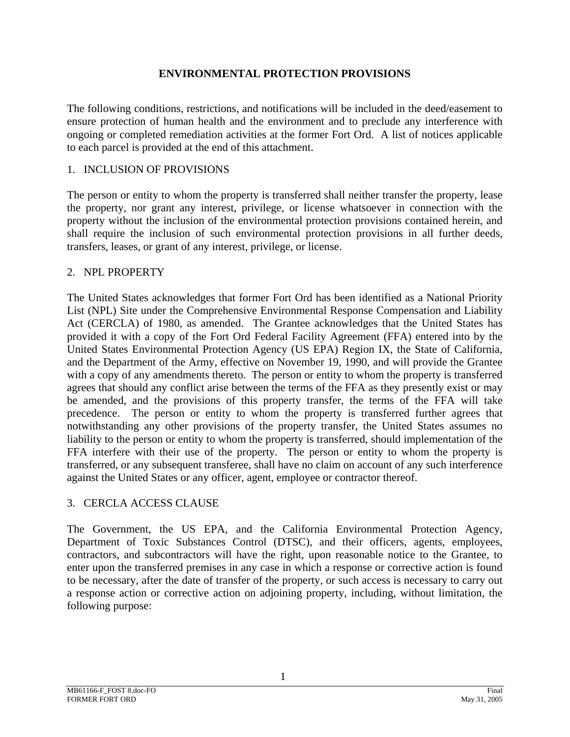#### **ENVIRONMENTAL PROTECTION PROVISIONS**

The following conditions, restrictions, and notifications will be included in the deed/easement to ensure protection of human health and the environment and to preclude any interference with ongoing or completed remediation activities at the former Fort Ord. A list of notices applicable to each parcel is provided at the end of this attachment.

#### 1. INCLUSION OF PROVISIONS

The person or entity to whom the property is transferred shall neither transfer the property, lease the property, nor grant any interest, privilege, or license whatsoever in connection with the property without the inclusion of the environmental protection provisions contained herein, and shall require the inclusion of such environmental protection provisions in all further deeds, transfers, leases, or grant of any interest, privilege, or license.

#### 2. NPL PROPERTY

The United States acknowledges that former Fort Ord has been identified as a National Priority List (NPL) Site under the Comprehensive Environmental Response Compensation and Liability Act (CERCLA) of 1980, as amended. The Grantee acknowledges that the United States has provided it with a copy of the Fort Ord Federal Facility Agreement (FFA) entered into by the United States Environmental Protection Agency (US EPA) Region IX, the State of California, and the Department of the Army, effective on November 19, 1990, and will provide the Grantee with a copy of any amendments thereto. The person or entity to whom the property is transferred agrees that should any conflict arise between the terms of the FFA as they presently exist or may be amended, and the provisions of this property transfer, the terms of the FFA will take precedence. The person or entity to whom the property is transferred further agrees that notwithstanding any other provisions of the property transfer, the United States assumes no liability to the person or entity to whom the property is transferred, should implementation of the FFA interfere with their use of the property. The person or entity to whom the property is transferred, or any subsequent transferee, shall have no claim on account of any such interference against the United States or any officer, agent, employee or contractor thereof.

#### 3. CERCLA ACCESS CLAUSE

The Government, the US EPA, and the California Environmental Protection Agency, Department of Toxic Substances Control (DTSC), and their officers, agents, employees, contractors, and subcontractors will have the right, upon reasonable notice to the Grantee, to enter upon the transferred premises in any case in which a response or corrective action is found to be necessary, after the date of transfer of the property, or such access is necessary to carry out a response action or corrective action on adjoining property, including, without limitation, the following purpose: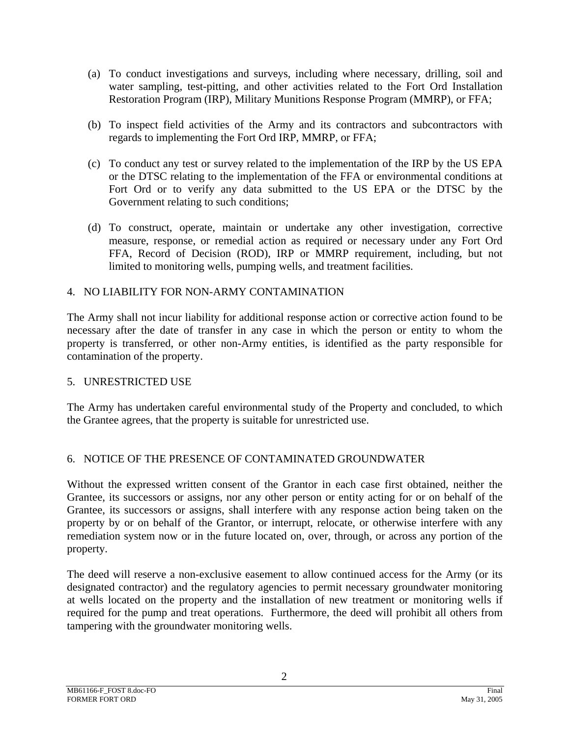- (a) To conduct investigations and surveys, including where necessary, drilling, soil and water sampling, test-pitting, and other activities related to the Fort Ord Installation Restoration Program (IRP), Military Munitions Response Program (MMRP), or FFA;
- (b) To inspect field activities of the Army and its contractors and subcontractors with regards to implementing the Fort Ord IRP, MMRP, or FFA;
- (c) To conduct any test or survey related to the implementation of the IRP by the US EPA or the DTSC relating to the implementation of the FFA or environmental conditions at Fort Ord or to verify any data submitted to the US EPA or the DTSC by the Government relating to such conditions;
- (d) To construct, operate, maintain or undertake any other investigation, corrective measure, response, or remedial action as required or necessary under any Fort Ord FFA, Record of Decision (ROD), IRP or MMRP requirement, including, but not limited to monitoring wells, pumping wells, and treatment facilities.

### 4. NO LIABILITY FOR NON-ARMY CONTAMINATION

The Army shall not incur liability for additional response action or corrective action found to be necessary after the date of transfer in any case in which the person or entity to whom the property is transferred, or other non-Army entities, is identified as the party responsible for contamination of the property.

#### 5. UNRESTRICTED USE

The Army has undertaken careful environmental study of the Property and concluded, to which the Grantee agrees, that the property is suitable for unrestricted use.

#### 6. NOTICE OF THE PRESENCE OF CONTAMINATED GROUNDWATER

Without the expressed written consent of the Grantor in each case first obtained, neither the Grantee, its successors or assigns, nor any other person or entity acting for or on behalf of the Grantee, its successors or assigns, shall interfere with any response action being taken on the property by or on behalf of the Grantor, or interrupt, relocate, or otherwise interfere with any remediation system now or in the future located on, over, through, or across any portion of the property.

The deed will reserve a non-exclusive easement to allow continued access for the Army (or its designated contractor) and the regulatory agencies to permit necessary groundwater monitoring at wells located on the property and the installation of new treatment or monitoring wells if required for the pump and treat operations. Furthermore, the deed will prohibit all others from tampering with the groundwater monitoring wells.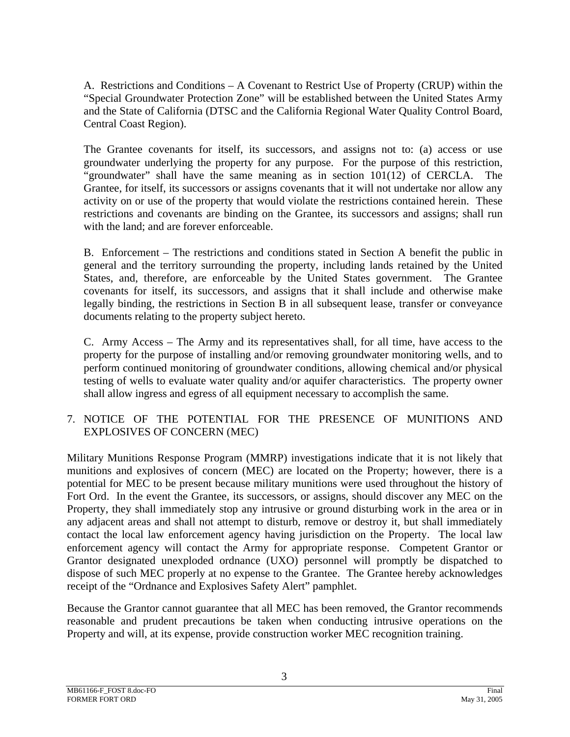A. Restrictions and Conditions – A Covenant to Restrict Use of Property (CRUP) within the "Special Groundwater Protection Zone" will be established between the United States Army and the State of California (DTSC and the California Regional Water Quality Control Board, Central Coast Region).

The Grantee covenants for itself, its successors, and assigns not to: (a) access or use groundwater underlying the property for any purpose. For the purpose of this restriction, "groundwater" shall have the same meaning as in section 101(12) of CERCLA. The Grantee, for itself, its successors or assigns covenants that it will not undertake nor allow any activity on or use of the property that would violate the restrictions contained herein. These restrictions and covenants are binding on the Grantee, its successors and assigns; shall run with the land; and are forever enforceable.

B. Enforcement – The restrictions and conditions stated in Section A benefit the public in general and the territory surrounding the property, including lands retained by the United States, and, therefore, are enforceable by the United States government. The Grantee covenants for itself, its successors, and assigns that it shall include and otherwise make legally binding, the restrictions in Section B in all subsequent lease, transfer or conveyance documents relating to the property subject hereto.

C. Army Access – The Army and its representatives shall, for all time, have access to the property for the purpose of installing and/or removing groundwater monitoring wells, and to perform continued monitoring of groundwater conditions, allowing chemical and/or physical testing of wells to evaluate water quality and/or aquifer characteristics. The property owner shall allow ingress and egress of all equipment necessary to accomplish the same.

7. NOTICE OF THE POTENTIAL FOR THE PRESENCE OF MUNITIONS AND EXPLOSIVES OF CONCERN (MEC)

Military Munitions Response Program (MMRP) investigations indicate that it is not likely that munitions and explosives of concern (MEC) are located on the Property; however, there is a potential for MEC to be present because military munitions were used throughout the history of Fort Ord. In the event the Grantee, its successors, or assigns, should discover any MEC on the Property, they shall immediately stop any intrusive or ground disturbing work in the area or in any adjacent areas and shall not attempt to disturb, remove or destroy it, but shall immediately contact the local law enforcement agency having jurisdiction on the Property. The local law enforcement agency will contact the Army for appropriate response. Competent Grantor or Grantor designated unexploded ordnance (UXO) personnel will promptly be dispatched to dispose of such MEC properly at no expense to the Grantee. The Grantee hereby acknowledges receipt of the "Ordnance and Explosives Safety Alert" pamphlet.

Because the Grantor cannot guarantee that all MEC has been removed, the Grantor recommends reasonable and prudent precautions be taken when conducting intrusive operations on the Property and will, at its expense, provide construction worker MEC recognition training.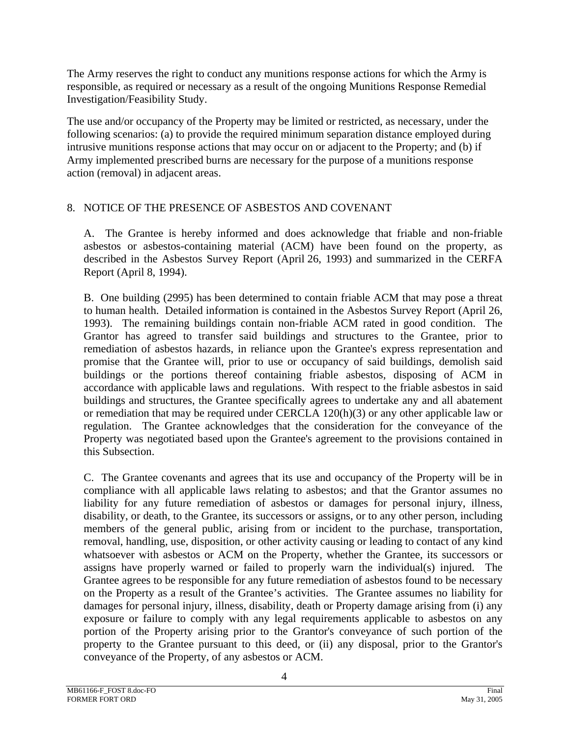The Army reserves the right to conduct any munitions response actions for which the Army is responsible, as required or necessary as a result of the ongoing Munitions Response Remedial Investigation/Feasibility Study.

The use and/or occupancy of the Property may be limited or restricted, as necessary, under the following scenarios: (a) to provide the required minimum separation distance employed during intrusive munitions response actions that may occur on or adjacent to the Property; and (b) if Army implemented prescribed burns are necessary for the purpose of a munitions response action (removal) in adjacent areas.

## 8. NOTICE OF THE PRESENCE OF ASBESTOS AND COVENANT

A. The Grantee is hereby informed and does acknowledge that friable and non-friable asbestos or asbestos-containing material (ACM) have been found on the property, as described in the Asbestos Survey Report (April 26, 1993) and summarized in the CERFA Report (April 8, 1994).

B. One building (2995) has been determined to contain friable ACM that may pose a threat to human health. Detailed information is contained in the Asbestos Survey Report (April 26, 1993). The remaining buildings contain non-friable ACM rated in good condition. The Grantor has agreed to transfer said buildings and structures to the Grantee, prior to remediation of asbestos hazards, in reliance upon the Grantee's express representation and promise that the Grantee will, prior to use or occupancy of said buildings, demolish said buildings or the portions thereof containing friable asbestos, disposing of ACM in accordance with applicable laws and regulations. With respect to the friable asbestos in said buildings and structures, the Grantee specifically agrees to undertake any and all abatement or remediation that may be required under CERCLA 120(h)(3) or any other applicable law or regulation. The Grantee acknowledges that the consideration for the conveyance of the Property was negotiated based upon the Grantee's agreement to the provisions contained in this Subsection.

C. The Grantee covenants and agrees that its use and occupancy of the Property will be in compliance with all applicable laws relating to asbestos; and that the Grantor assumes no liability for any future remediation of asbestos or damages for personal injury, illness, disability, or death, to the Grantee, its successors or assigns, or to any other person, including members of the general public, arising from or incident to the purchase, transportation, removal, handling, use, disposition, or other activity causing or leading to contact of any kind whatsoever with asbestos or ACM on the Property, whether the Grantee, its successors or assigns have properly warned or failed to properly warn the individual(s) injured. The Grantee agrees to be responsible for any future remediation of asbestos found to be necessary on the Property as a result of the Grantee's activities. The Grantee assumes no liability for damages for personal injury, illness, disability, death or Property damage arising from (i) any exposure or failure to comply with any legal requirements applicable to asbestos on any portion of the Property arising prior to the Grantor's conveyance of such portion of the property to the Grantee pursuant to this deed, or (ii) any disposal, prior to the Grantor's conveyance of the Property, of any asbestos or ACM.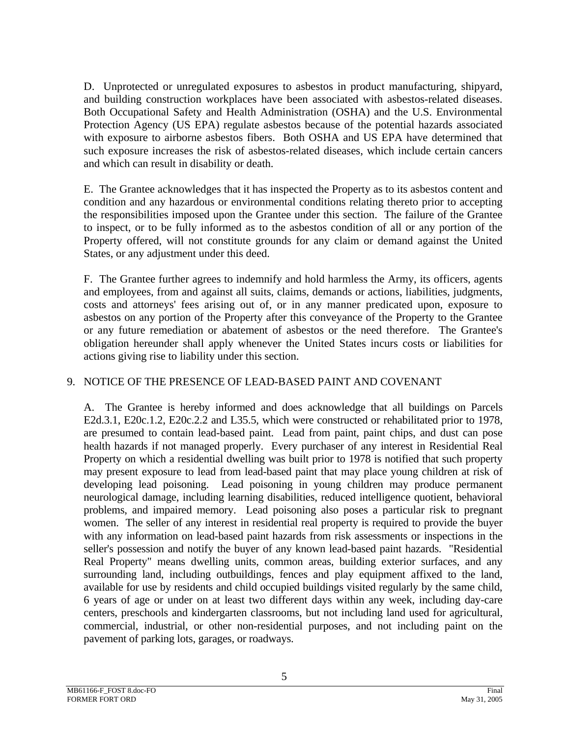D. Unprotected or unregulated exposures to asbestos in product manufacturing, shipyard, and building construction workplaces have been associated with asbestos-related diseases. Both Occupational Safety and Health Administration (OSHA) and the U.S. Environmental Protection Agency (US EPA) regulate asbestos because of the potential hazards associated with exposure to airborne asbestos fibers. Both OSHA and US EPA have determined that such exposure increases the risk of asbestos-related diseases, which include certain cancers and which can result in disability or death.

E. The Grantee acknowledges that it has inspected the Property as to its asbestos content and condition and any hazardous or environmental conditions relating thereto prior to accepting the responsibilities imposed upon the Grantee under this section. The failure of the Grantee to inspect, or to be fully informed as to the asbestos condition of all or any portion of the Property offered, will not constitute grounds for any claim or demand against the United States, or any adjustment under this deed.

F. The Grantee further agrees to indemnify and hold harmless the Army, its officers, agents and employees, from and against all suits, claims, demands or actions, liabilities, judgments, costs and attorneys' fees arising out of, or in any manner predicated upon, exposure to asbestos on any portion of the Property after this conveyance of the Property to the Grantee or any future remediation or abatement of asbestos or the need therefore. The Grantee's obligation hereunder shall apply whenever the United States incurs costs or liabilities for actions giving rise to liability under this section.

## 9. NOTICE OF THE PRESENCE OF LEAD-BASED PAINT AND COVENANT

A. The Grantee is hereby informed and does acknowledge that all buildings on Parcels E2d.3.1, E20c.1.2, E20c.2.2 and L35.5, which were constructed or rehabilitated prior to 1978, are presumed to contain lead-based paint. Lead from paint, paint chips, and dust can pose health hazards if not managed properly. Every purchaser of any interest in Residential Real Property on which a residential dwelling was built prior to 1978 is notified that such property may present exposure to lead from lead-based paint that may place young children at risk of developing lead poisoning. Lead poisoning in young children may produce permanent neurological damage, including learning disabilities, reduced intelligence quotient, behavioral problems, and impaired memory. Lead poisoning also poses a particular risk to pregnant women. The seller of any interest in residential real property is required to provide the buyer with any information on lead-based paint hazards from risk assessments or inspections in the seller's possession and notify the buyer of any known lead-based paint hazards. "Residential Real Property" means dwelling units, common areas, building exterior surfaces, and any surrounding land, including outbuildings, fences and play equipment affixed to the land, available for use by residents and child occupied buildings visited regularly by the same child, 6 years of age or under on at least two different days within any week, including day-care centers, preschools and kindergarten classrooms, but not including land used for agricultural, commercial, industrial, or other non-residential purposes, and not including paint on the pavement of parking lots, garages, or roadways.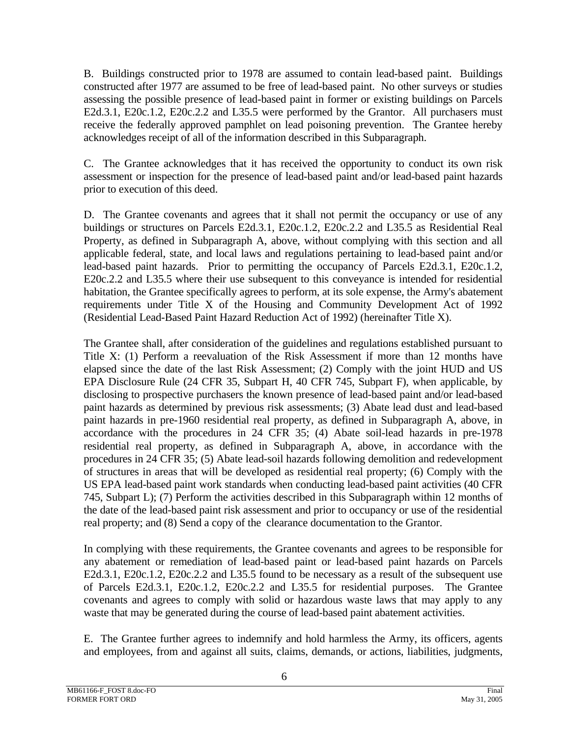B. Buildings constructed prior to 1978 are assumed to contain lead-based paint. Buildings constructed after 1977 are assumed to be free of lead-based paint. No other surveys or studies assessing the possible presence of lead-based paint in former or existing buildings on Parcels E2d.3.1, E20c.1.2, E20c.2.2 and L35.5 were performed by the Grantor. All purchasers must receive the federally approved pamphlet on lead poisoning prevention. The Grantee hereby acknowledges receipt of all of the information described in this Subparagraph.

C. The Grantee acknowledges that it has received the opportunity to conduct its own risk assessment or inspection for the presence of lead-based paint and/or lead-based paint hazards prior to execution of this deed.

D. The Grantee covenants and agrees that it shall not permit the occupancy or use of any buildings or structures on Parcels E2d.3.1, E20c.1.2, E20c.2.2 and L35.5 as Residential Real Property, as defined in Subparagraph A, above, without complying with this section and all applicable federal, state, and local laws and regulations pertaining to lead-based paint and/or lead-based paint hazards. Prior to permitting the occupancy of Parcels E2d.3.1, E20c.1.2, E20c.2.2 and L35.5 where their use subsequent to this conveyance is intended for residential habitation, the Grantee specifically agrees to perform, at its sole expense, the Army's abatement requirements under Title X of the Housing and Community Development Act of 1992 (Residential Lead-Based Paint Hazard Reduction Act of 1992) (hereinafter Title X).

The Grantee shall, after consideration of the guidelines and regulations established pursuant to Title X: (1) Perform a reevaluation of the Risk Assessment if more than 12 months have elapsed since the date of the last Risk Assessment; (2) Comply with the joint HUD and US EPA Disclosure Rule (24 CFR 35, Subpart H, 40 CFR 745, Subpart F), when applicable, by disclosing to prospective purchasers the known presence of lead-based paint and/or lead-based paint hazards as determined by previous risk assessments; (3) Abate lead dust and lead-based paint hazards in pre-1960 residential real property, as defined in Subparagraph A, above, in accordance with the procedures in 24 CFR 35; (4) Abate soil-lead hazards in pre-1978 residential real property, as defined in Subparagraph A, above, in accordance with the procedures in 24 CFR 35; (5) Abate lead-soil hazards following demolition and redevelopment of structures in areas that will be developed as residential real property; (6) Comply with the US EPA lead-based paint work standards when conducting lead-based paint activities (40 CFR 745, Subpart L); (7) Perform the activities described in this Subparagraph within 12 months of the date of the lead-based paint risk assessment and prior to occupancy or use of the residential real property; and (8) Send a copy of the clearance documentation to the Grantor.

In complying with these requirements, the Grantee covenants and agrees to be responsible for any abatement or remediation of lead-based paint or lead-based paint hazards on Parcels E2d.3.1, E20c.1.2, E20c.2.2 and L35.5 found to be necessary as a result of the subsequent use of Parcels E2d.3.1, E20c.1.2, E20c.2.2 and L35.5 for residential purposes. The Grantee covenants and agrees to comply with solid or hazardous waste laws that may apply to any waste that may be generated during the course of lead-based paint abatement activities.

E. The Grantee further agrees to indemnify and hold harmless the Army, its officers, agents and employees, from and against all suits, claims, demands, or actions, liabilities, judgments,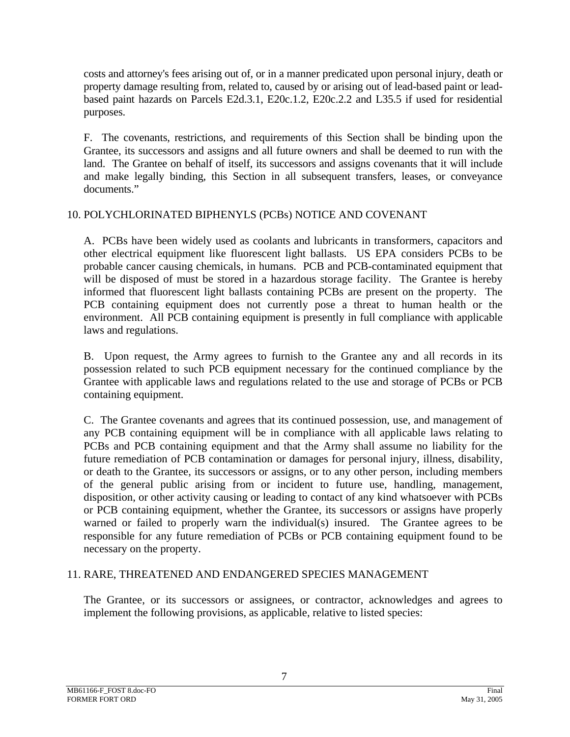costs and attorney's fees arising out of, or in a manner predicated upon personal injury, death or property damage resulting from, related to, caused by or arising out of lead-based paint or leadbased paint hazards on Parcels E2d.3.1, E20c.1.2, E20c.2.2 and L35.5 if used for residential purposes.

F. The covenants, restrictions, and requirements of this Section shall be binding upon the Grantee, its successors and assigns and all future owners and shall be deemed to run with the land. The Grantee on behalf of itself, its successors and assigns covenants that it will include and make legally binding, this Section in all subsequent transfers, leases, or conveyance documents."

## 10. POLYCHLORINATED BIPHENYLS (PCBs) NOTICE AND COVENANT

 A. PCBs have been widely used as coolants and lubricants in transformers, capacitors and other electrical equipment like fluorescent light ballasts. US EPA considers PCBs to be probable cancer causing chemicals, in humans. PCB and PCB-contaminated equipment that will be disposed of must be stored in a hazardous storage facility. The Grantee is hereby informed that fluorescent light ballasts containing PCBs are present on the property. The PCB containing equipment does not currently pose a threat to human health or the environment. All PCB containing equipment is presently in full compliance with applicable laws and regulations.

 B. Upon request, the Army agrees to furnish to the Grantee any and all records in its possession related to such PCB equipment necessary for the continued compliance by the Grantee with applicable laws and regulations related to the use and storage of PCBs or PCB containing equipment.

 C. The Grantee covenants and agrees that its continued possession, use, and management of any PCB containing equipment will be in compliance with all applicable laws relating to PCBs and PCB containing equipment and that the Army shall assume no liability for the future remediation of PCB contamination or damages for personal injury, illness, disability, or death to the Grantee, its successors or assigns, or to any other person, including members of the general public arising from or incident to future use, handling, management, disposition, or other activity causing or leading to contact of any kind whatsoever with PCBs or PCB containing equipment, whether the Grantee, its successors or assigns have properly warned or failed to properly warn the individual(s) insured. The Grantee agrees to be responsible for any future remediation of PCBs or PCB containing equipment found to be necessary on the property.

#### 11. RARE, THREATENED AND ENDANGERED SPECIES MANAGEMENT

The Grantee, or its successors or assignees, or contractor, acknowledges and agrees to implement the following provisions, as applicable, relative to listed species: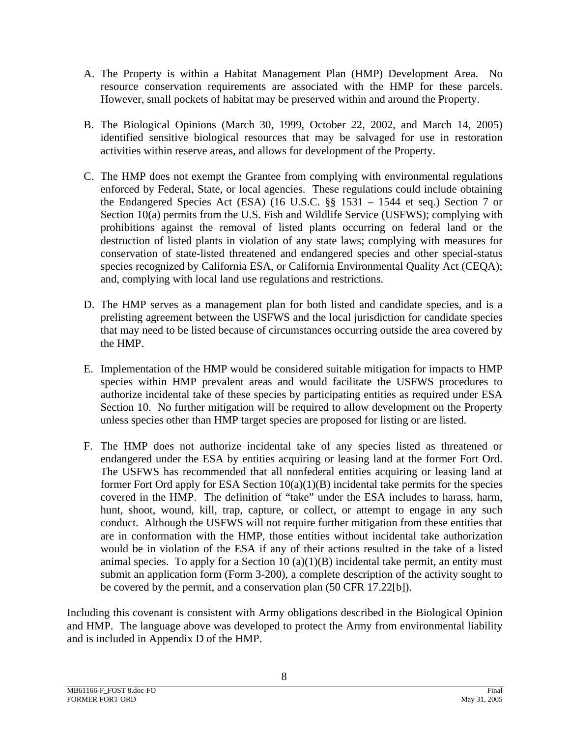- A. The Property is within a Habitat Management Plan (HMP) Development Area. No resource conservation requirements are associated with the HMP for these parcels. However, small pockets of habitat may be preserved within and around the Property.
- B. The Biological Opinions (March 30, 1999, October 22, 2002, and March 14, 2005) identified sensitive biological resources that may be salvaged for use in restoration activities within reserve areas, and allows for development of the Property.
- C. The HMP does not exempt the Grantee from complying with environmental regulations enforced by Federal, State, or local agencies. These regulations could include obtaining the Endangered Species Act (ESA) (16 U.S.C. §§ 1531 – 1544 et seq.) Section 7 or Section 10(a) permits from the U.S. Fish and Wildlife Service (USFWS); complying with prohibitions against the removal of listed plants occurring on federal land or the destruction of listed plants in violation of any state laws; complying with measures for conservation of state-listed threatened and endangered species and other special-status species recognized by California ESA, or California Environmental Quality Act (CEQA); and, complying with local land use regulations and restrictions.
- D. The HMP serves as a management plan for both listed and candidate species, and is a prelisting agreement between the USFWS and the local jurisdiction for candidate species that may need to be listed because of circumstances occurring outside the area covered by the HMP.
- E. Implementation of the HMP would be considered suitable mitigation for impacts to HMP species within HMP prevalent areas and would facilitate the USFWS procedures to authorize incidental take of these species by participating entities as required under ESA Section 10. No further mitigation will be required to allow development on the Property unless species other than HMP target species are proposed for listing or are listed.
- F. The HMP does not authorize incidental take of any species listed as threatened or endangered under the ESA by entities acquiring or leasing land at the former Fort Ord. The USFWS has recommended that all nonfederal entities acquiring or leasing land at former Fort Ord apply for ESA Section  $10(a)(1)(B)$  incidental take permits for the species covered in the HMP. The definition of "take" under the ESA includes to harass, harm, hunt, shoot, wound, kill, trap, capture, or collect, or attempt to engage in any such conduct. Although the USFWS will not require further mitigation from these entities that are in conformation with the HMP, those entities without incidental take authorization would be in violation of the ESA if any of their actions resulted in the take of a listed animal species. To apply for a Section  $10(a)(1)(B)$  incidental take permit, an entity must submit an application form (Form 3-200), a complete description of the activity sought to be covered by the permit, and a conservation plan (50 CFR 17.22[b]).

Including this covenant is consistent with Army obligations described in the Biological Opinion and HMP. The language above was developed to protect the Army from environmental liability and is included in Appendix D of the HMP.